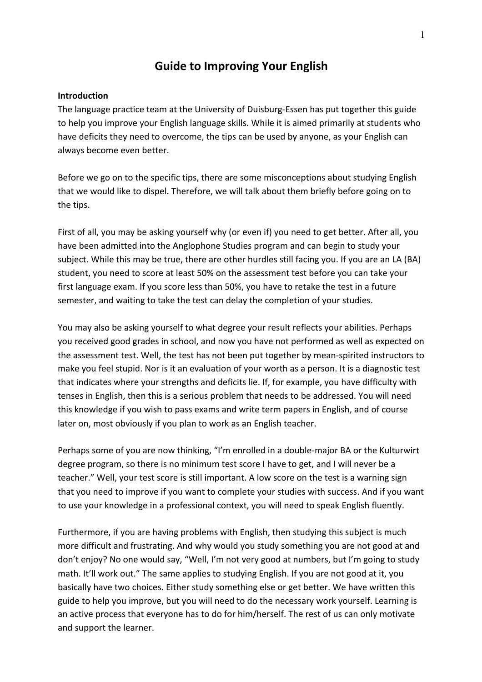# **Guide to Improving Your English**

### **Introduction**

The language practice team at the University of Duisburg-Essen has put together this guide to help you improve your English language skills. While it is aimed primarily at students who have deficits they need to overcome, the tips can be used by anyone, as your English can always become even better.

Before we go on to the specific tips, there are some misconceptions about studying English that we would like to dispel. Therefore, we will talk about them briefly before going on to the tips.

First of all, you may be asking yourself why (or even if) you need to get better. After all, you have been admitted into the Anglophone Studies program and can begin to study your subject. While this may be true, there are other hurdles still facing you. If you are an LA (BA) student, you need to score at least 50% on the assessment test before you can take your first language exam. If you score less than 50%, you have to retake the test in a future semester, and waiting to take the test can delay the completion of your studies.

You may also be asking yourself to what degree your result reflects your abilities. Perhaps you received good grades in school, and now you have not performed as well as expected on the assessment test. Well, the test has not been put together by mean-spirited instructors to make you feel stupid. Nor is it an evaluation of your worth as a person. It is a diagnostic test that indicates where your strengths and deficits lie. If, for example, you have difficulty with tenses in English, then this is a serious problem that needs to be addressed. You will need this knowledge if you wish to pass exams and write term papers in English, and of course later on, most obviously if you plan to work as an English teacher.

Perhaps some of you are now thinking, "I'm enrolled in a double-major BA or the Kulturwirt degree program, so there is no minimum test score I have to get, and I will never be a teacher." Well, your test score is still important. A low score on the test is a warning sign that you need to improve if you want to complete your studies with success. And if you want to use your knowledge in a professional context, you will need to speak English fluently.

Furthermore, if you are having problems with English, then studying this subject is much more difficult and frustrating. And why would you study something you are not good at and don't enjoy? No one would say, "Well, I'm not very good at numbers, but I'm going to study math. It'll work out." The same applies to studying English. If you are not good at it, you basically have two choices. Either study something else or get better. We have written this guide to help you improve, but you will need to do the necessary work yourself. Learning is an active process that everyone has to do for him/herself. The rest of us can only motivate and support the learner.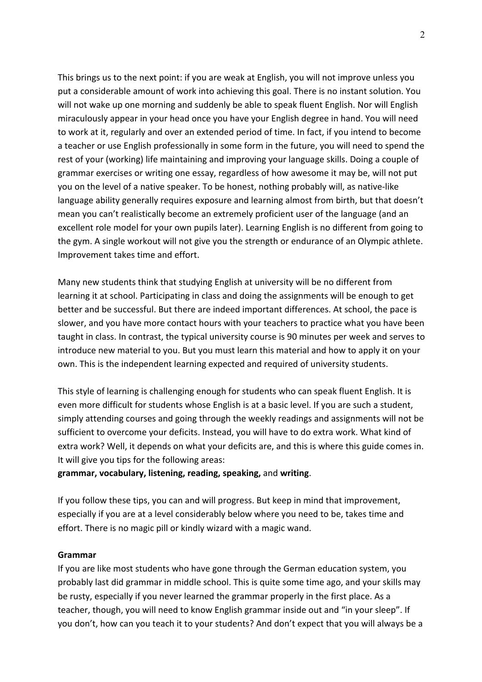This brings us to the next point: if you are weak at English, you will not improve unless you put a considerable amount of work into achieving this goal. There is no instant solution. You will not wake up one morning and suddenly be able to speak fluent English. Nor will English miraculously appear in your head once you have your English degree in hand. You will need to work at it, regularly and over an extended period of time. In fact, if you intend to become a teacher or use English professionally in some form in the future, you will need to spend the rest of your (working) life maintaining and improving your language skills. Doing a couple of grammar exercises or writing one essay, regardless of how awesome it may be, will not put you on the level of a native speaker. To be honest, nothing probably will, as native-like language ability generally requires exposure and learning almost from birth, but that doesn't mean you can't realistically become an extremely proficient user of the language (and an excellent role model for your own pupils later). Learning English is no different from going to the gym. A single workout will not give you the strength or endurance of an Olympic athlete. Improvement takes time and effort.

Many new students think that studying English at university will be no different from learning it at school. Participating in class and doing the assignments will be enough to get better and be successful. But there are indeed important differences. At school, the pace is slower, and you have more contact hours with your teachers to practice what you have been taught in class. In contrast, the typical university course is 90 minutes per week and serves to introduce new material to you. But you must learn this material and how to apply it on your own. This is the independent learning expected and required of university students.

This style of learning is challenging enough for students who can speak fluent English. It is even more difficult for students whose English is at a basic level. If you are such a student, simply attending courses and going through the weekly readings and assignments will not be sufficient to overcome your deficits. Instead, you will have to do extra work. What kind of extra work? Well, it depends on what your deficits are, and this is where this guide comes in. It will give you tips for the following areas:

### **grammar, vocabulary, listening, reading, speaking,** and **writing**.

If you follow these tips, you can and will progress. But keep in mind that improvement, especially if you are at a level considerably below where you need to be, takes time and effort. There is no magic pill or kindly wizard with a magic wand.

### **Grammar**

If you are like most students who have gone through the German education system, you probably last did grammar in middle school. This is quite some time ago, and your skills may be rusty, especially if you never learned the grammar properly in the first place. As a teacher, though, you will need to know English grammar inside out and "in your sleep". If you don't, how can you teach it to your students? And don't expect that you will always be a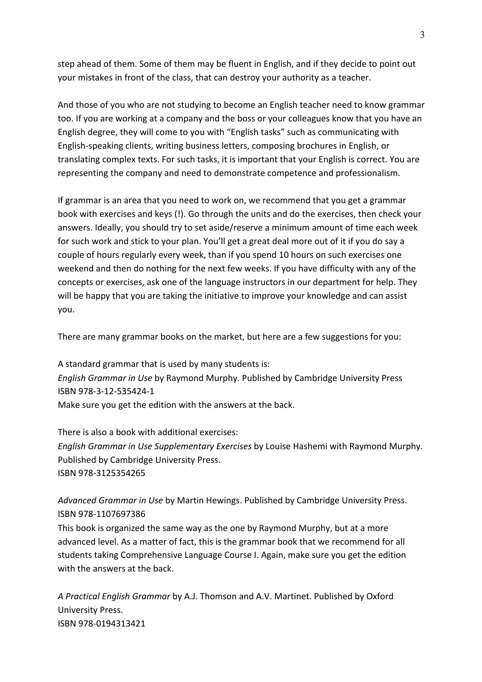step ahead of them. Some of them may be fluent in English, and if they decide to point out your mistakes in front of the class, that can destroy your authority as a teacher.

And those of you who are not studying to become an English teacher need to know grammar too. If you are working at a company and the boss or your colleagues know that you have an English degree, they will come to you with "English tasks" such as communicating with English-speaking clients, writing business letters, composing brochures in English, or translating complex texts. For such tasks, it is important that your English is correct. You are representing the company and need to demonstrate competence and professionalism.

If grammar is an area that you need to work on, we recommend that you get a grammar book with exercises and keys (!). Go through the units and do the exercises, then check your answers. Ideally, you should try to set aside/reserve a minimum amount of time each week for such work and stick to your plan. You'll get a great deal more out of it if you do say a couple of hours regularly every week, than if you spend 10 hours on such exercises one weekend and then do nothing for the next few weeks. If you have difficulty with any of the concepts or exercises, ask one of the language instructors in our department for help. They will be happy that you are taking the initiative to improve your knowledge and can assist you.

There are many grammar books on the market, but here are a few suggestions for you:

A standard grammar that is used by many students is: *English Grammar in Use* by Raymond Murphy. Published by Cambridge University Press ISBN 978-3-12-535424-1 Make sure you get the edition with the answers at the back.

There is also a book with additional exercises: *English Grammar in Use Supplementary Exercises* by Louise Hashemi with Raymond Murphy. Published by Cambridge University Press. ISBN 978-3125354265

*Advanced Grammar in Use* by Martin Hewings. Published by Cambridge University Press. ISBN 978-1107697386

This book is organized the same way as the one by Raymond Murphy, but at a more advanced level. As a matter of fact, this is the grammar book that we recommend for all students taking Comprehensive Language Course I. Again, make sure you get the edition with the answers at the back.

*A Practical English Grammar* by A.J. Thomson and A.V. Martinet. Published by Oxford University Press. ISBN 978-0194313421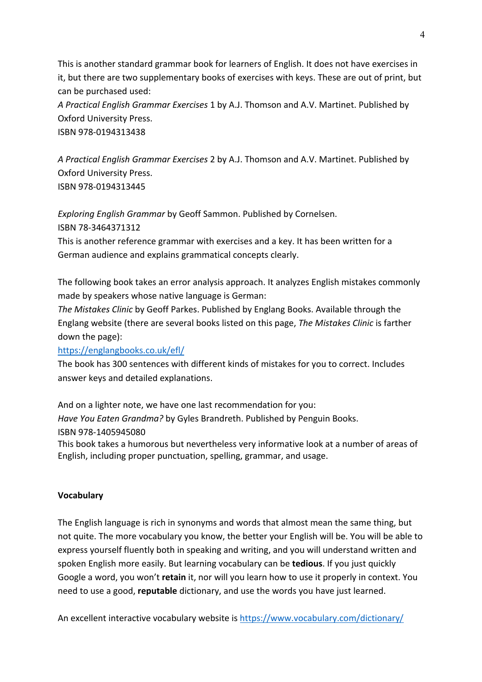This is another standard grammar book for learners of English. It does not have exercises in it, but there are two supplementary books of exercises with keys. These are out of print, but can be purchased used:

*A Practical English Grammar Exercises* 1 by A.J. Thomson and A.V. Martinet. Published by Oxford University Press.

ISBN 978-0194313438

*A Practical English Grammar Exercises* 2 by A.J. Thomson and A.V. Martinet. Published by Oxford University Press. ISBN 978-0194313445

*Exploring English Grammar* by Geoff Sammon. Published by Cornelsen. ISBN 78-3464371312

This is another reference grammar with exercises and a key. It has been written for a German audience and explains grammatical concepts clearly.

The following book takes an error analysis approach. It analyzes English mistakes commonly made by speakers whose native language is German:

*The Mistakes Clinic* by Geoff Parkes. Published by Englang Books. Available through the Englang website (there are several books listed on this page, *The Mistakes Clinic* is farther down the page):

# https://englangbooks.co.uk/efl/

The book has 300 sentences with different kinds of mistakes for you to correct. Includes answer keys and detailed explanations.

And on a lighter note, we have one last recommendation for you: *Have You Eaten Grandma?* by Gyles Brandreth. Published by Penguin Books. ISBN 978-1405945080 This book takes a humorous but nevertheless very informative look at a number of areas of

English, including proper punctuation, spelling, grammar, and usage.

# **Vocabulary**

The English language is rich in synonyms and words that almost mean the same thing, but not quite. The more vocabulary you know, the better your English will be. You will be able to express yourself fluently both in speaking and writing, and you will understand written and spoken English more easily. But learning vocabulary can be **tedious**. If you just quickly Google a word, you won't **retain** it, nor will you learn how to use it properly in context. You need to use a good, **reputable** dictionary, and use the words you have just learned.

An excellent interactive vocabulary website is https://www.vocabulary.com/dictionary/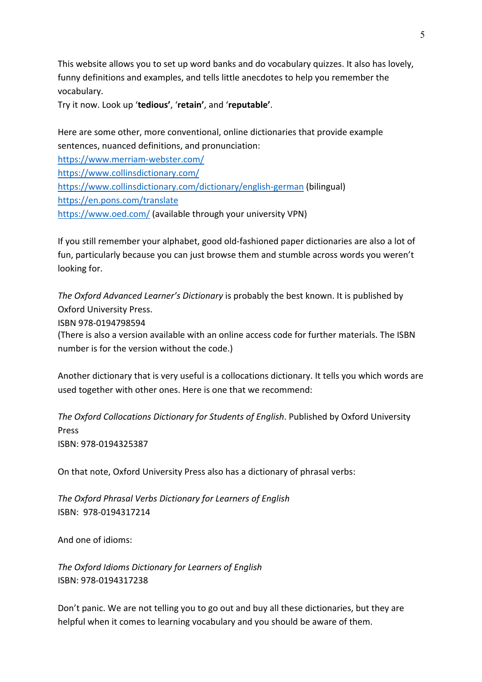This website allows you to set up word banks and do vocabulary quizzes. It also has lovely, funny definitions and examples, and tells little anecdotes to help you remember the vocabulary.

Try it now. Look up '**tedious'**, '**retain'**, and '**reputable'**.

Here are some other, more conventional, online dictionaries that provide example sentences, nuanced definitions, and pronunciation:

https://www.merriam-webster.com/ https://www.collinsdictionary.com/ https://www.collinsdictionary.com/dictionary/english-german (bilingual) https://en.pons.com/translate https://www.oed.com/ (available through your university VPN)

If you still remember your alphabet, good old-fashioned paper dictionaries are also a lot of fun, particularly because you can just browse them and stumble across words you weren't looking for.

*The Oxford Advanced Learner's Dictionary* is probably the best known. It is published by Oxford University Press. ISBN 978-0194798594 (There is also a version available with an online access code for further materials. The ISBN number is for the version without the code.)

Another dictionary that is very useful is a collocations dictionary. It tells you which words are used together with other ones. Here is one that we recommend:

*The Oxford Collocations Dictionary for Students of English*. Published by Oxford University Press ISBN: 978-0194325387

On that note, Oxford University Press also has a dictionary of phrasal verbs:

*The Oxford Phrasal Verbs Dictionary for Learners of English* ISBN: 978-0194317214

And one of idioms:

*The Oxford Idioms Dictionary for Learners of English* ISBN: 978-0194317238

Don't panic. We are not telling you to go out and buy all these dictionaries, but they are helpful when it comes to learning vocabulary and you should be aware of them.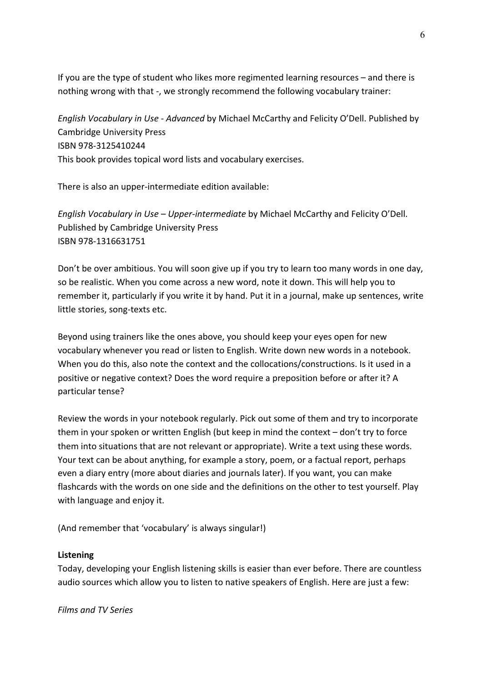If you are the type of student who likes more regimented learning resources – and there is nothing wrong with that -, we strongly recommend the following vocabulary trainer:

*English Vocabulary in Use - Advanced* by Michael McCarthy and Felicity O'Dell. Published by Cambridge University Press ISBN 978-3125410244 This book provides topical word lists and vocabulary exercises.

There is also an upper-intermediate edition available:

*English Vocabulary in Use – Upper-intermediate* by Michael McCarthy and Felicity O'Dell. Published by Cambridge University Press ISBN 978-1316631751

Don't be over ambitious. You will soon give up if you try to learn too many words in one day, so be realistic. When you come across a new word, note it down. This will help you to remember it, particularly if you write it by hand. Put it in a journal, make up sentences, write little stories, song-texts etc.

Beyond using trainers like the ones above, you should keep your eyes open for new vocabulary whenever you read or listen to English. Write down new words in a notebook. When you do this, also note the context and the collocations/constructions. Is it used in a positive or negative context? Does the word require a preposition before or after it? A particular tense?

Review the words in your notebook regularly. Pick out some of them and try to incorporate them in your spoken or written English (but keep in mind the context – don't try to force them into situations that are not relevant or appropriate). Write a text using these words. Your text can be about anything, for example a story, poem, or a factual report, perhaps even a diary entry (more about diaries and journals later). If you want, you can make flashcards with the words on one side and the definitions on the other to test yourself. Play with language and enjoy it.

(And remember that 'vocabulary' is always singular!)

### **Listening**

Today, developing your English listening skills is easier than ever before. There are countless audio sources which allow you to listen to native speakers of English. Here are just a few:

*Films and TV Series*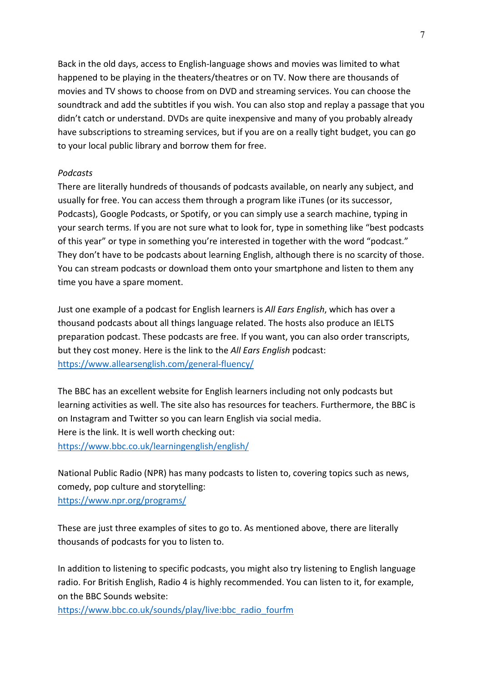Back in the old days, access to English-language shows and movies was limited to what happened to be playing in the theaters/theatres or on TV. Now there are thousands of movies and TV shows to choose from on DVD and streaming services. You can choose the soundtrack and add the subtitles if you wish. You can also stop and replay a passage that you didn't catch or understand. DVDs are quite inexpensive and many of you probably already have subscriptions to streaming services, but if you are on a really tight budget, you can go to your local public library and borrow them for free.

### *Podcasts*

There are literally hundreds of thousands of podcasts available, on nearly any subject, and usually for free. You can access them through a program like iTunes (or its successor, Podcasts), Google Podcasts, or Spotify, or you can simply use a search machine, typing in your search terms. If you are not sure what to look for, type in something like "best podcasts of this year" or type in something you're interested in together with the word "podcast." They don't have to be podcasts about learning English, although there is no scarcity of those. You can stream podcasts or download them onto your smartphone and listen to them any time you have a spare moment.

Just one example of a podcast for English learners is *All Ears English*, which has over a thousand podcasts about all things language related. The hosts also produce an IELTS preparation podcast. These podcasts are free. If you want, you can also order transcripts, but they cost money. Here is the link to the *All Ears English* podcast: https://www.allearsenglish.com/general-fluency/

The BBC has an excellent website for English learners including not only podcasts but learning activities as well. The site also has resources for teachers. Furthermore, the BBC is on Instagram and Twitter so you can learn English via social media. Here is the link. It is well worth checking out: https://www.bbc.co.uk/learningenglish/english/

National Public Radio (NPR) has many podcasts to listen to, covering topics such as news, comedy, pop culture and storytelling: https://www.npr.org/programs/

These are just three examples of sites to go to. As mentioned above, there are literally thousands of podcasts for you to listen to.

In addition to listening to specific podcasts, you might also try listening to English language radio. For British English, Radio 4 is highly recommended. You can listen to it, for example, on the BBC Sounds website:

https://www.bbc.co.uk/sounds/play/live:bbc\_radio\_fourfm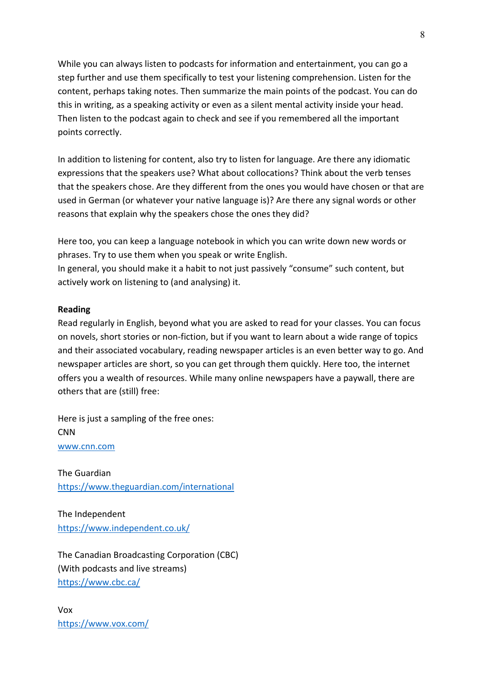While you can always listen to podcasts for information and entertainment, you can go a step further and use them specifically to test your listening comprehension. Listen for the content, perhaps taking notes. Then summarize the main points of the podcast. You can do this in writing, as a speaking activity or even as a silent mental activity inside your head. Then listen to the podcast again to check and see if you remembered all the important points correctly.

In addition to listening for content, also try to listen for language. Are there any idiomatic expressions that the speakers use? What about collocations? Think about the verb tenses that the speakers chose. Are they different from the ones you would have chosen or that are used in German (or whatever your native language is)? Are there any signal words or other reasons that explain why the speakers chose the ones they did?

Here too, you can keep a language notebook in which you can write down new words or phrases. Try to use them when you speak or write English. In general, you should make it a habit to not just passively "consume" such content, but actively work on listening to (and analysing) it.

### **Reading**

Read regularly in English, beyond what you are asked to read for your classes. You can focus on novels, short stories or non-fiction, but if you want to learn about a wide range of topics and their associated vocabulary, reading newspaper articles is an even better way to go. And newspaper articles are short, so you can get through them quickly. Here too, the internet offers you a wealth of resources. While many online newspapers have a paywall, there are others that are (still) free:

Here is just a sampling of the free ones: CNN www.cnn.com

The Guardian https://www.theguardian.com/international

The Independent https://www.independent.co.uk/

The Canadian Broadcasting Corporation (CBC) (With podcasts and live streams) https://www.cbc.ca/

Vox https://www.vox.com/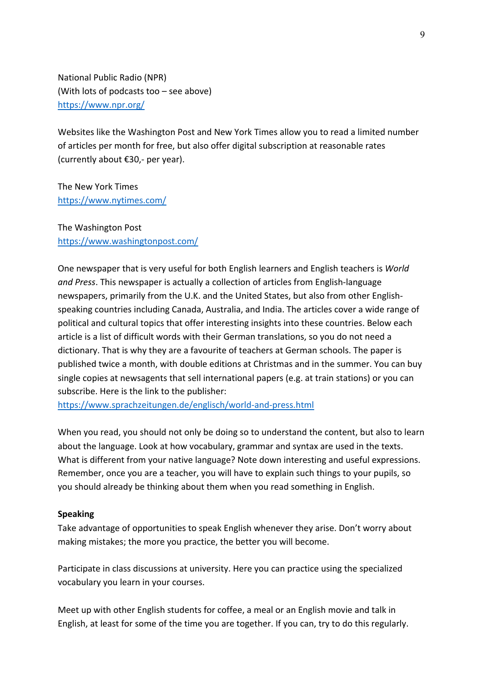National Public Radio (NPR) (With lots of podcasts too – see above) https://www.npr.org/

Websites like the Washington Post and New York Times allow you to read a limited number of articles per month for free, but also offer digital subscription at reasonable rates (currently about €30,- per year).

The New York Times https://www.nytimes.com/

The Washington Post https://www.washingtonpost.com/

One newspaper that is very useful for both English learners and English teachers is *World and Press*. This newspaper is actually a collection of articles from English-language newspapers, primarily from the U.K. and the United States, but also from other Englishspeaking countries including Canada, Australia, and India. The articles cover a wide range of political and cultural topics that offer interesting insights into these countries. Below each article is a list of difficult words with their German translations, so you do not need a dictionary. That is why they are a favourite of teachers at German schools. The paper is published twice a month, with double editions at Christmas and in the summer. You can buy single copies at newsagents that sell international papers (e.g. at train stations) or you can subscribe. Here is the link to the publisher:

https://www.sprachzeitungen.de/englisch/world-and-press.html

When you read, you should not only be doing so to understand the content, but also to learn about the language. Look at how vocabulary, grammar and syntax are used in the texts. What is different from your native language? Note down interesting and useful expressions. Remember, once you are a teacher, you will have to explain such things to your pupils, so you should already be thinking about them when you read something in English.

### **Speaking**

Take advantage of opportunities to speak English whenever they arise. Don't worry about making mistakes; the more you practice, the better you will become.

Participate in class discussions at university. Here you can practice using the specialized vocabulary you learn in your courses.

Meet up with other English students for coffee, a meal or an English movie and talk in English, at least for some of the time you are together. If you can, try to do this regularly.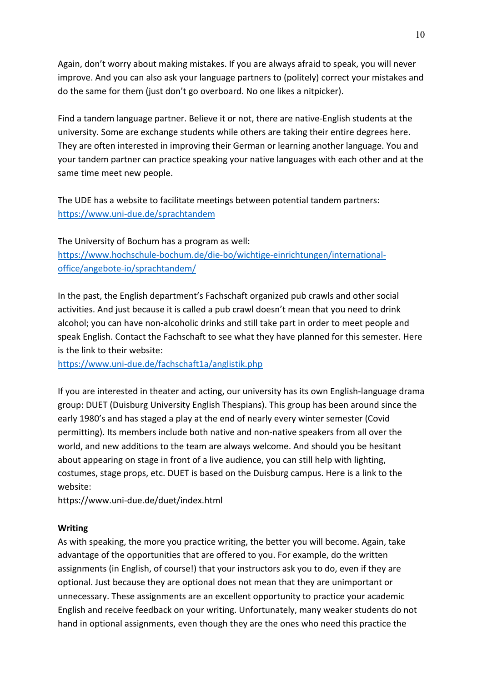Again, don't worry about making mistakes. If you are always afraid to speak, you will never improve. And you can also ask your language partners to (politely) correct your mistakes and do the same for them (just don't go overboard. No one likes a nitpicker).

Find a tandem language partner. Believe it or not, there are native-English students at the university. Some are exchange students while others are taking their entire degrees here. They are often interested in improving their German or learning another language. You and your tandem partner can practice speaking your native languages with each other and at the same time meet new people.

The UDE has a website to facilitate meetings between potential tandem partners: https://www.uni-due.de/sprachtandem

The University of Bochum has a program as well: https://www.hochschule-bochum.de/die-bo/wichtige-einrichtungen/internationaloffice/angebote-io/sprachtandem/

In the past, the English department's Fachschaft organized pub crawls and other social activities. And just because it is called a pub crawl doesn't mean that you need to drink alcohol; you can have non-alcoholic drinks and still take part in order to meet people and speak English. Contact the Fachschaft to see what they have planned for this semester. Here is the link to their website:

https://www.uni-due.de/fachschaft1a/anglistik.php

If you are interested in theater and acting, our university has its own English-language drama group: DUET (Duisburg University English Thespians). This group has been around since the early 1980's and has staged a play at the end of nearly every winter semester (Covid permitting). Its members include both native and non-native speakers from all over the world, and new additions to the team are always welcome. And should you be hesitant about appearing on stage in front of a live audience, you can still help with lighting, costumes, stage props, etc. DUET is based on the Duisburg campus. Here is a link to the website:

https://www.uni-due.de/duet/index.html

# **Writing**

As with speaking, the more you practice writing, the better you will become. Again, take advantage of the opportunities that are offered to you. For example, do the written assignments (in English, of course!) that your instructors ask you to do, even if they are optional. Just because they are optional does not mean that they are unimportant or unnecessary. These assignments are an excellent opportunity to practice your academic English and receive feedback on your writing. Unfortunately, many weaker students do not hand in optional assignments, even though they are the ones who need this practice the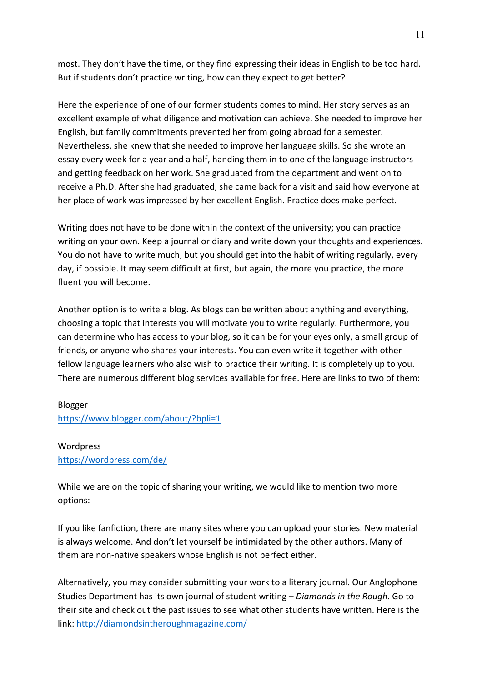most. They don't have the time, or they find expressing their ideas in English to be too hard. But if students don't practice writing, how can they expect to get better?

Here the experience of one of our former students comes to mind. Her story serves as an excellent example of what diligence and motivation can achieve. She needed to improve her English, but family commitments prevented her from going abroad for a semester. Nevertheless, she knew that she needed to improve her language skills. So she wrote an essay every week for a year and a half, handing them in to one of the language instructors and getting feedback on her work. She graduated from the department and went on to receive a Ph.D. After she had graduated, she came back for a visit and said how everyone at her place of work was impressed by her excellent English. Practice does make perfect.

Writing does not have to be done within the context of the university; you can practice writing on your own. Keep a journal or diary and write down your thoughts and experiences. You do not have to write much, but you should get into the habit of writing regularly, every day, if possible. It may seem difficult at first, but again, the more you practice, the more fluent you will become.

Another option is to write a blog. As blogs can be written about anything and everything, choosing a topic that interests you will motivate you to write regularly. Furthermore, you can determine who has access to your blog, so it can be for your eyes only, a small group of friends, or anyone who shares your interests. You can even write it together with other fellow language learners who also wish to practice their writing. It is completely up to you. There are numerous different blog services available for free. Here are links to two of them:

### Blogger

https://www.blogger.com/about/?bpli=1

### Wordpress

https://wordpress.com/de/

While we are on the topic of sharing your writing, we would like to mention two more options:

If you like fanfiction, there are many sites where you can upload your stories. New material is always welcome. And don't let yourself be intimidated by the other authors. Many of them are non-native speakers whose English is not perfect either.

Alternatively, you may consider submitting your work to a literary journal. Our Anglophone Studies Department has its own journal of student writing – *Diamonds in the Rough*. Go to their site and check out the past issues to see what other students have written. Here is the link: http://diamondsintheroughmagazine.com/